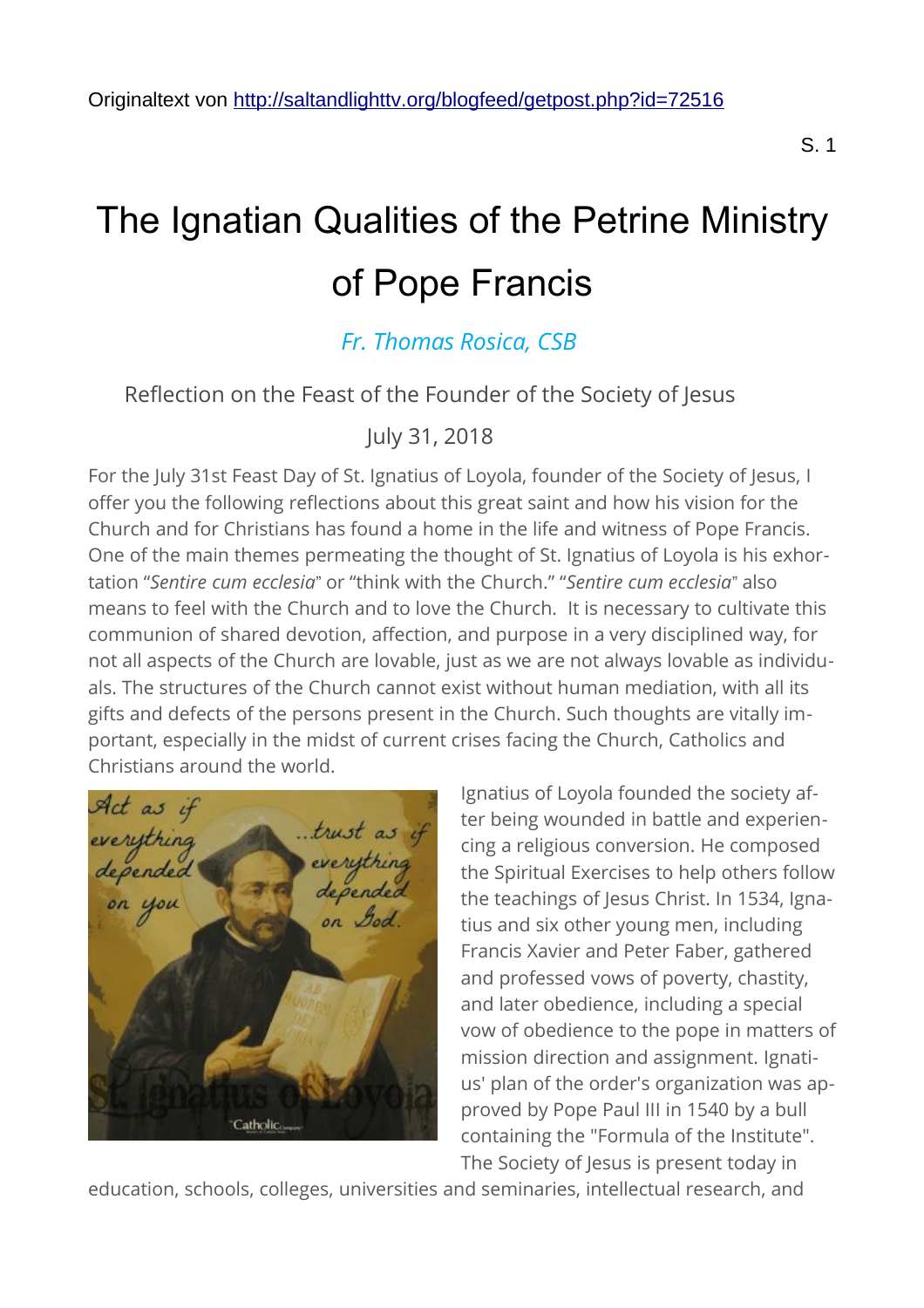# The Ignatian Qualities of the Petrine Ministry of Pope Francis

# *[Fr. Thomas Rosica, CSB](http://saltandlighttv.org/b/?aid=28&an=Fr.%20Thomas%20Rosica,%20CSB&language=)*

## Reflection on the Feast of the Founder of the Society of Jesus

July 31, 2018

For the July 31st Feast Day of St. Ignatius of Loyola, founder of the Society of Jesus, I offer you the following reflections about this great saint and how his vision for the Church and for Christians has found a home in the life and witness of Pope Francis. One of the main themes permeating the thought of St. Ignatius of Loyola is his exhortation "*Sentire cum ecclesia*" or "think with the Church." "*Sentire cum ecclesia*" also means to feel with the Church and to love the Church. It is necessary to cultivate this communion of shared devotion, affection, and purpose in a very disciplined way, for not all aspects of the Church are lovable, just as we are not always lovable as individuals. The structures of the Church cannot exist without human mediation, with all its gifts and defects of the persons present in the Church. Such thoughts are vitally important, especially in the midst of current crises facing the Church, Catholics and Christians around the world.



Ignatius of Loyola founded the society after being wounded in battle and experiencing a religious conversion. He composed the Spiritual Exercises to help others follow the teachings of Jesus Christ. In 1534, Ignatius and six other young men, including Francis Xavier and Peter Faber, gathered and professed vows of poverty, chastity, and later obedience, including a special vow of obedience to the pope in matters of mission direction and assignment. Ignatius' plan of the order's organization was approved by Pope Paul III in 1540 by a bull containing the "Formula of the Institute". The Society of Jesus is present today in

education, schools, colleges, universities and seminaries, intellectual research, and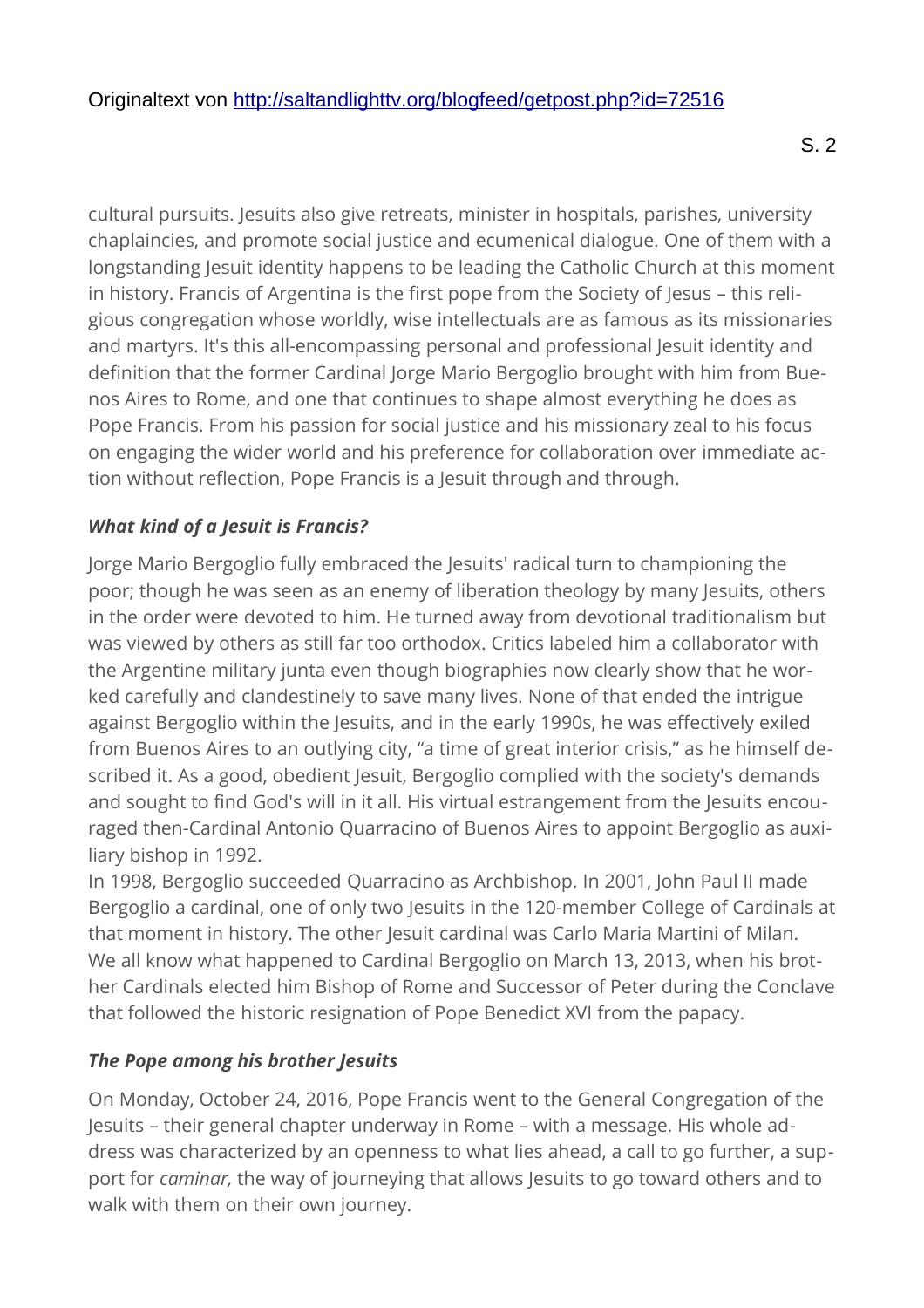cultural pursuits. Jesuits also give retreats, minister in hospitals, parishes, university chaplaincies, and promote social justice and ecumenical dialogue. One of them with a longstanding Jesuit identity happens to be leading the Catholic Church at this moment in history. Francis of Argentina is the first pope from the Society of Jesus – this religious congregation whose worldly, wise intellectuals are as famous as its missionaries and martyrs. It's this all-encompassing personal and professional Jesuit identity and definition that the former Cardinal Jorge Mario Bergoglio brought with him from Buenos Aires to Rome, and one that continues to shape almost everything he does as Pope Francis. From his passion for social justice and his missionary zeal to his focus on engaging the wider world and his preference for collaboration over immediate action without reflection, Pope Francis is a Jesuit through and through.

## *What kind of a Jesuit is Francis?*

Jorge Mario Bergoglio fully embraced the Jesuits' radical turn to championing the poor; though he was seen as an enemy of liberation theology by many Jesuits, others in the order were devoted to him. He turned away from devotional traditionalism but was viewed by others as still far too orthodox. Critics labeled him a collaborator with the Argentine military junta even though biographies now clearly show that he worked carefully and clandestinely to save many lives. None of that ended the intrigue against Bergoglio within the Jesuits, and in the early 1990s, he was effectively exiled from Buenos Aires to an outlying city, "a time of great interior crisis," as he himself described it. As a good, obedient Jesuit, Bergoglio complied with the society's demands and sought to find God's will in it all. His virtual estrangement from the Jesuits encouraged then-Cardinal Antonio Quarracino of Buenos Aires to appoint Bergoglio as auxiliary bishop in 1992.

In 1998, Bergoglio succeeded Quarracino as Archbishop. In 2001, John Paul II made Bergoglio a cardinal, one of only two Jesuits in the 120-member College of Cardinals at that moment in history. The other Jesuit cardinal was Carlo Maria Martini of Milan. We all know what happened to Cardinal Bergoglio on March 13, 2013, when his brother Cardinals elected him Bishop of Rome and Successor of Peter during the Conclave that followed the historic resignation of Pope Benedict XVI from the papacy.

### *The Pope among his brother Jesuits*

On Monday, October 24, 2016, Pope Francis went to the General Congregation of the Jesuits – their general chapter underway in Rome – with a message. His whole address was characterized by an openness to what lies ahead, a call to go further, a support for *caminar,* the way of journeying that allows Jesuits to go toward others and to walk with them on their own journey.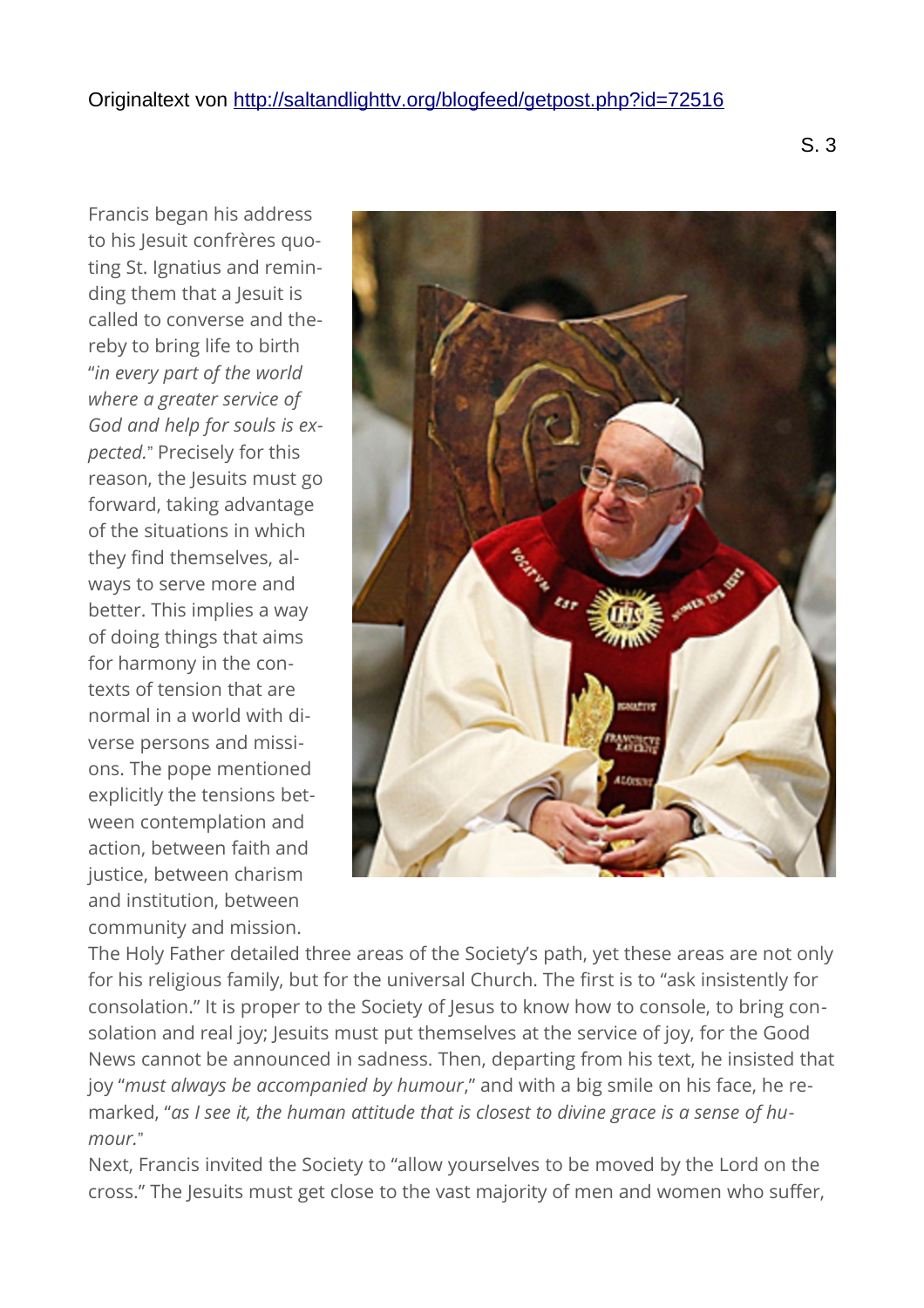Francis began his address to his Jesuit confrères quoting St. Ignatius and reminding them that a Jesuit is called to converse and thereby to bring life to birth "*in every part of the world where a greater service of God and help for souls is expected.*" Precisely for this reason, the Jesuits must go forward, taking advantage of the situations in which they find themselves, always to serve more and better. This implies a way of doing things that aims for harmony in the contexts of tension that are normal in a world with diverse persons and missions. The pope mentioned explicitly the tensions between contemplation and action, between faith and justice, between charism and institution, between community and mission.



The Holy Father detailed three areas of the Society's path, yet these areas are not only for his religious family, but for the universal Church. The first is to "ask insistently for consolation." It is proper to the Society of Jesus to know how to console, to bring consolation and real joy; Jesuits must put themselves at the service of joy, for the Good News cannot be announced in sadness. Then, departing from his text, he insisted that joy "*must always be accompanied by humour*," and with a big smile on his face, he remarked, "*as I see it, the human attitude that is closest to divine grace is a sense of humour.*"

Next, Francis invited the Society to "allow yourselves to be moved by the Lord on the cross." The Jesuits must get close to the vast majority of men and women who suffer,

S. 3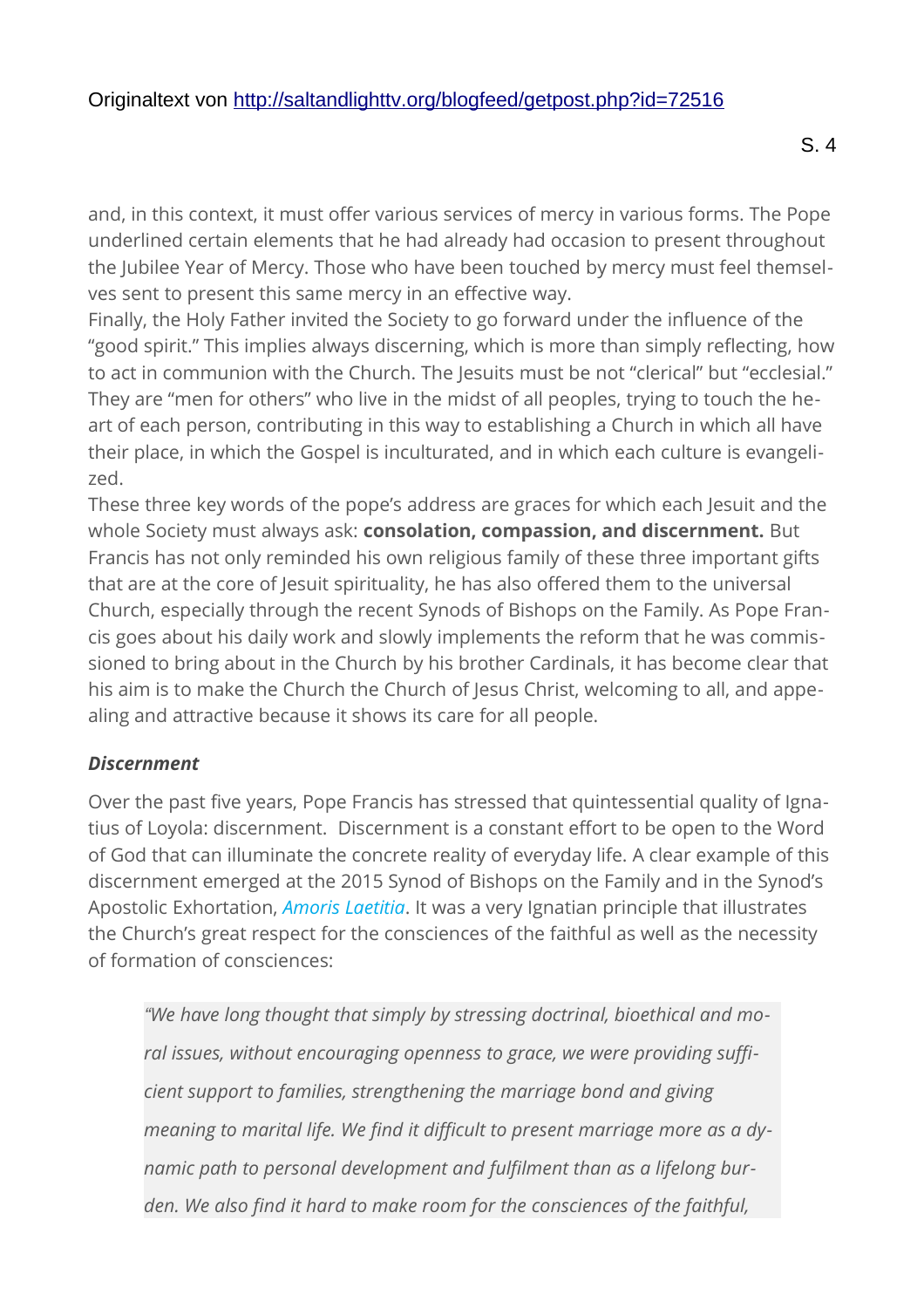and, in this context, it must offer various services of mercy in various forms. The Pope underlined certain elements that he had already had occasion to present throughout the Jubilee Year of Mercy. Those who have been touched by mercy must feel themselves sent to present this same mercy in an effective way.

Finally, the Holy Father invited the Society to go forward under the influence of the "good spirit." This implies always discerning, which is more than simply reflecting, how to act in communion with the Church. The Jesuits must be not "clerical" but "ecclesial." They are "men for others" who live in the midst of all peoples, trying to touch the heart of each person, contributing in this way to establishing a Church in which all have their place, in which the Gospel is inculturated, and in which each culture is evangelized.

These three key words of the pope's address are graces for which each Jesuit and the whole Society must always ask: **consolation, compassion, and discernment.** But Francis has not only reminded his own religious family of these three important gifts that are at the core of Jesuit spirituality, he has also offered them to the universal Church, especially through the recent Synods of Bishops on the Family. As Pope Francis goes about his daily work and slowly implements the reform that he was commissioned to bring about in the Church by his brother Cardinals, it has become clear that his aim is to make the Church the Church of Jesus Christ, welcoming to all, and appealing and attractive because it shows its care for all people.

#### *Discernment*

Over the past five years, Pope Francis has stressed that quintessential quality of Ignatius of Loyola: discernment. Discernment is a constant effort to be open to the Word of God that can illuminate the concrete reality of everyday life. A clear example of this discernment emerged at the 2015 Synod of Bishops on the Family and in the Synod's Apostolic Exhortation, *[Amoris Laetitia](http://w2.vatican.va/content/francesco/en/apost_exhortations/documents/papa-francesco_esortazione-ap_20160319_amoris-laetitia.html)*. It was a very Ignatian principle that illustrates the Church's great respect for the consciences of the faithful as well as the necessity of formation of consciences:

*"We have long thought that simply by stressing doctrinal, bioethical and moral issues, without encouraging openness to grace, we were providing sufficient support to families, strengthening the marriage bond and giving meaning to marital life. We find it difficult to present marriage more as a dynamic path to personal development and fulfilment than as a lifelong burden. We also find it hard to make room for the consciences of the faithful,*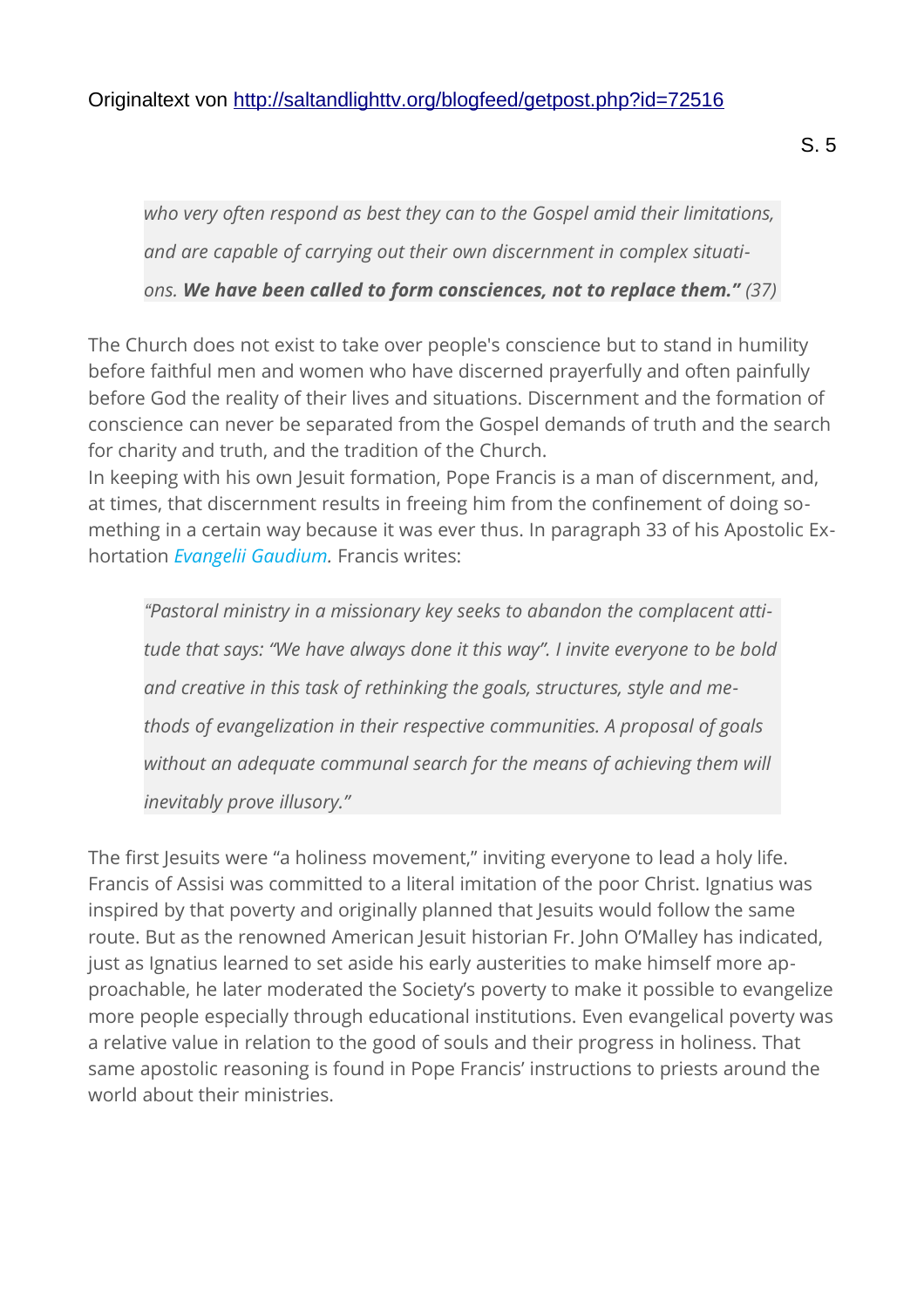*who very often respond as best they can to the Gospel amid their limitations,*

*ons. We have been called to form consciences, not to replace them." (37)*

*and are capable of carrying out their own discernment in complex situati-*

The Church does not exist to take over people's conscience but to stand in humility before faithful men and women who have discerned prayerfully and often painfully before God the reality of their lives and situations. Discernment and the formation of conscience can never be separated from the Gospel demands of truth and the search for charity and truth, and the tradition of the Church.

In keeping with his own Jesuit formation, Pope Francis is a man of discernment, and, at times, that discernment results in freeing him from the confinement of doing something in a certain way because it was ever thus. In paragraph 33 of his Apostolic Exhortation *[Evangelii Gaudium.](http://w2.vatican.va/content/francesco/en/apost_exhortations/documents/papa-francesco_esortazione-ap_20131124_evangelii-gaudium.html)* Francis writes:

*"Pastoral ministry in a missionary key seeks to abandon the complacent attitude that says: "We have always done it this way". I invite everyone to be bold and creative in this task of rethinking the goals, structures, style and methods of evangelization in their respective communities. A proposal of goals without an adequate communal search for the means of achieving them will inevitably prove illusory."*

The first Jesuits were "a holiness movement," inviting everyone to lead a holy life. Francis of Assisi was committed to a literal imitation of the poor Christ. Ignatius was inspired by that poverty and originally planned that Jesuits would follow the same route. But as the renowned American Jesuit historian Fr. John O'Malley has indicated, just as Ignatius learned to set aside his early austerities to make himself more approachable, he later moderated the Society's poverty to make it possible to evangelize more people especially through educational institutions. Even evangelical poverty was a relative value in relation to the good of souls and their progress in holiness. That same apostolic reasoning is found in Pope Francis' instructions to priests around the world about their ministries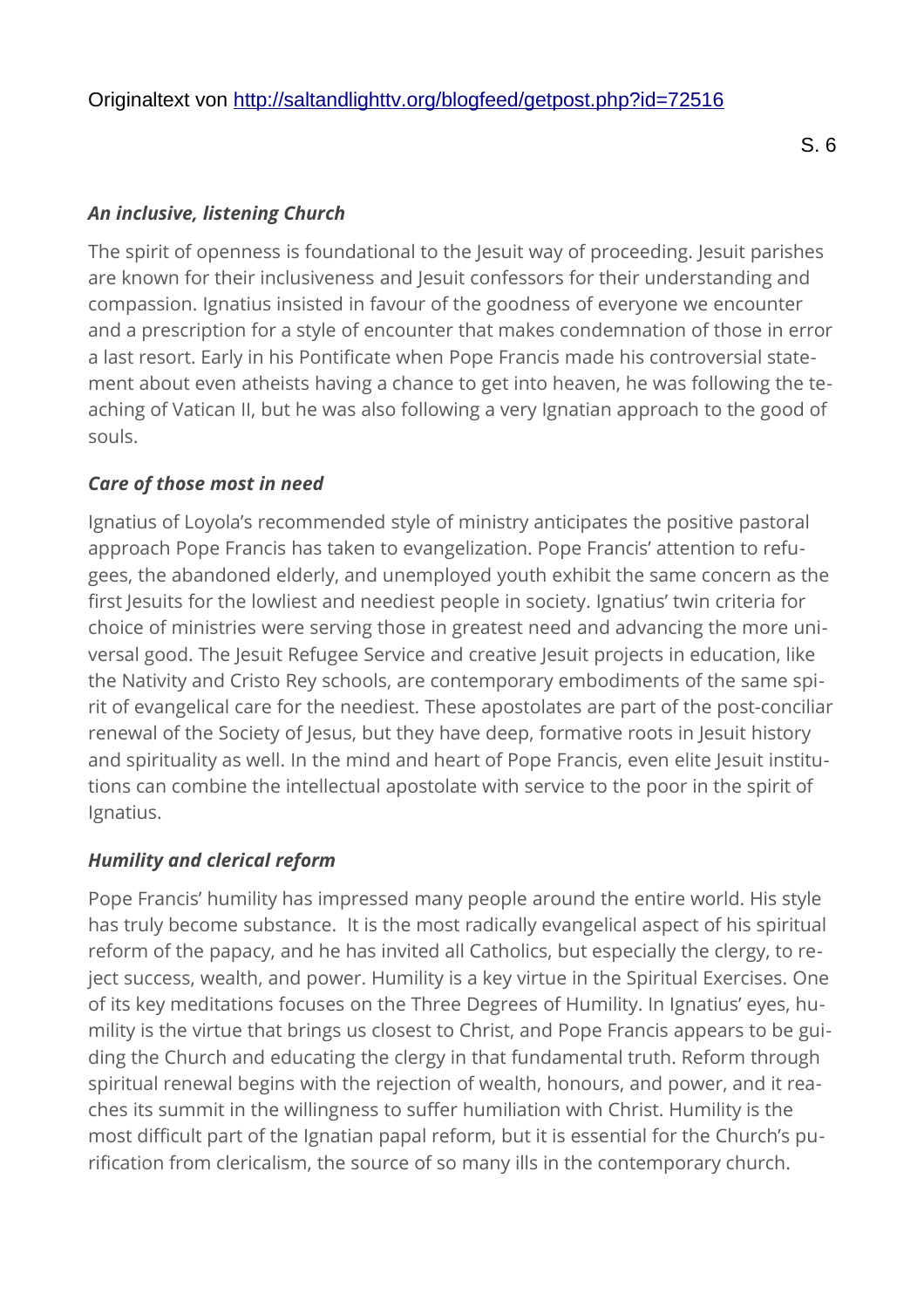#### *An inclusive, listening Church*

The spirit of openness is foundational to the Jesuit way of proceeding. Jesuit parishes are known for their inclusiveness and Jesuit confessors for their understanding and compassion. Ignatius insisted in favour of the goodness of everyone we encounter and a prescription for a style of encounter that makes condemnation of those in error a last resort. Early in his Pontificate when Pope Francis made his controversial statement about even atheists having a chance to get into heaven, he was following the teaching of Vatican II, but he was also following a very Ignatian approach to the good of souls.

#### *Care of those most in need*

Ignatius of Loyola's recommended style of ministry anticipates the positive pastoral approach Pope Francis has taken to evangelization. Pope Francis' attention to refugees, the abandoned elderly, and unemployed youth exhibit the same concern as the first Jesuits for the lowliest and neediest people in society. Ignatius' twin criteria for choice of ministries were serving those in greatest need and advancing the more universal good. The Jesuit Refugee Service and creative Jesuit projects in education, like the Nativity and Cristo Rey schools, are contemporary embodiments of the same spirit of evangelical care for the neediest. These apostolates are part of the post-conciliar renewal of the Society of Jesus, but they have deep, formative roots in Jesuit history and spirituality as well. In the mind and heart of Pope Francis, even elite Jesuit institutions can combine the intellectual apostolate with service to the poor in the spirit of Ignatius.

#### *Humility and clerical reform*

Pope Francis' humility has impressed many people around the entire world. His style has truly become substance. It is the most radically evangelical aspect of his spiritual reform of the papacy, and he has invited all Catholics, but especially the clergy, to reject success, wealth, and power. Humility is a key virtue in the Spiritual Exercises. One of its key meditations focuses on the Three Degrees of Humility. In Ignatius' eyes, humility is the virtue that brings us closest to Christ, and Pope Francis appears to be guiding the Church and educating the clergy in that fundamental truth. Reform through spiritual renewal begins with the rejection of wealth, honours, and power, and it reaches its summit in the willingness to suffer humiliation with Christ. Humility is the most difficult part of the Ignatian papal reform, but it is essential for the Church's purification from clericalism, the source of so many ills in the contemporary church.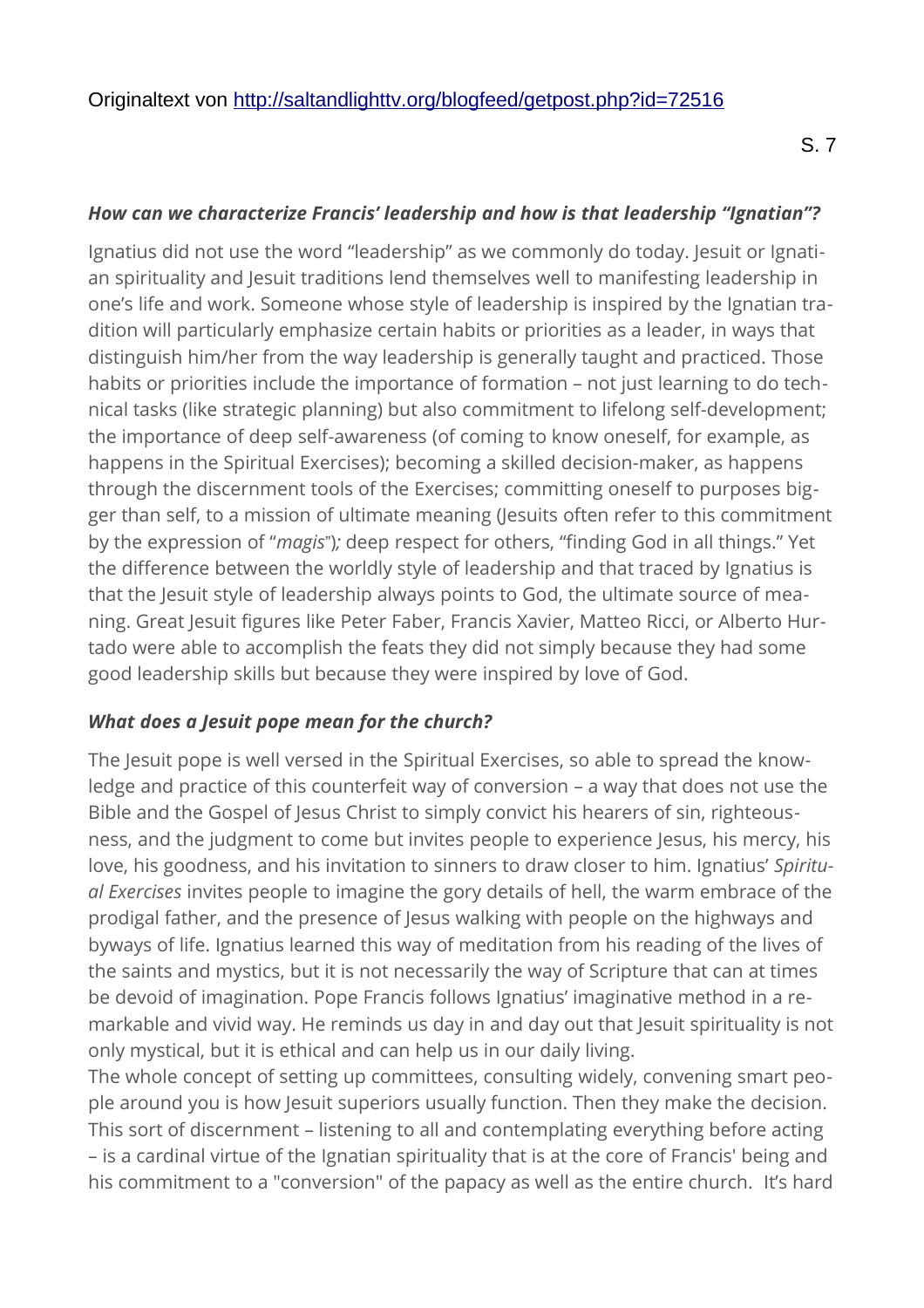#### *How can we characterize Francis' leadership and how is that leadership "Ignatian"?*

Ignatius did not use the word "leadership" as we commonly do today. Jesuit or Ignatian spirituality and Jesuit traditions lend themselves well to manifesting leadership in one's life and work. Someone whose style of leadership is inspired by the Ignatian tradition will particularly emphasize certain habits or priorities as a leader, in ways that distinguish him/her from the way leadership is generally taught and practiced. Those habits or priorities include the importance of formation – not just learning to do technical tasks (like strategic planning) but also commitment to lifelong self-development; the importance of deep self-awareness (of coming to know oneself, for example, as happens in the Spiritual Exercises); becoming a skilled decision-maker, as happens through the discernment tools of the Exercises; committing oneself to purposes bigger than self, to a mission of ultimate meaning (Jesuits often refer to this commitment by the expression of "*magis*")*;* deep respect for others, "finding God in all things." Yet the difference between the worldly style of leadership and that traced by Ignatius is that the Jesuit style of leadership always points to God, the ultimate source of meaning. Great Jesuit figures like Peter Faber, Francis Xavier, Matteo Ricci, or Alberto Hurtado were able to accomplish the feats they did not simply because they had some good leadership skills but because they were inspired by love of God.

#### *What does a Jesuit pope mean for the church?*

The Jesuit pope is well versed in the Spiritual Exercises, so able to spread the knowledge and practice of this counterfeit way of conversion – a way that does not use the Bible and the Gospel of Jesus Christ to simply convict his hearers of sin, righteousness, and the judgment to come but invites people to experience Jesus, his mercy, his love, his goodness, and his invitation to sinners to draw closer to him. Ignatius' *Spiritual Exercises* invites people to imagine the gory details of hell, the warm embrace of the prodigal father, and the presence of Jesus walking with people on the highways and byways of life. Ignatius learned this way of meditation from his reading of the lives of the saints and mystics, but it is not necessarily the way of Scripture that can at times be devoid of imagination. Pope Francis follows Ignatius' imaginative method in a remarkable and vivid way. He reminds us day in and day out that Jesuit spirituality is not only mystical, but it is ethical and can help us in our daily living.

The whole concept of setting up committees, consulting widely, convening smart people around you is how Jesuit superiors usually function. Then they make the decision. This sort of discernment – listening to all and contemplating everything before acting – is a cardinal virtue of the Ignatian spirituality that is at the core of Francis' being and his commitment to a "conversion" of the papacy as well as the entire church. It's hard